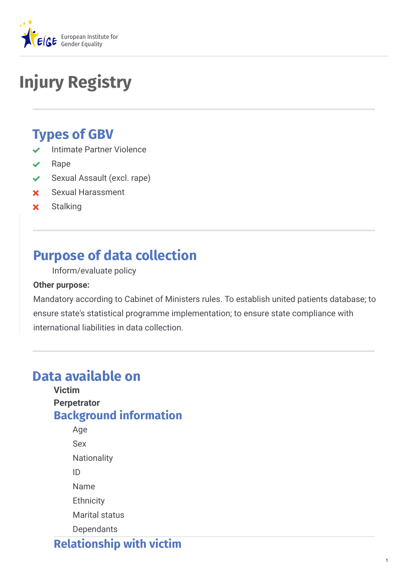

# **Injury Registry**

# **Types of GBV**

- Intimate Partner Violence
- Rape
- ◆ Sexual Assault (excl. rape)
- Sexual Harassment
- **x** Stalking

# **Purpose of data collection**

Inform/evaluate policy

#### **Other purpose:**

Mandatory according to Cabinet of Ministers rules. To establish united patients database; to ensure state's statistical programme implementation; to ensure state compliance with international liabilities in data collection.

# **Data available on**

**Victim Perpetrator Background information**

Age Sex **Nationality** ID Name **Ethnicity** Marital status **Dependants** 

**Relationship with victim**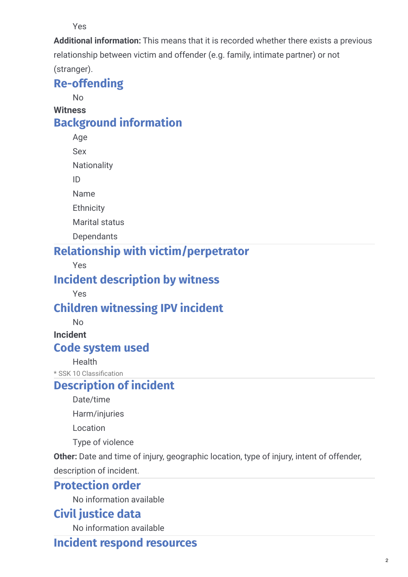Yes

**Additional information:** This means that it is recorded whether there exists a previous relationship between victim and offender (e.g. family, intimate partner) or not (stranger).

# **[Re-offending](http://www.likumi.lv/doc.php?id=181288)**

No

**Witness**

# **Background information**

Age

Sex

**Nationality** 

ID

Name

**Ethnicity** 

Marital status

**Dependants** 

# **Relationship with victim/perpetrator**

Yes

# **Incident description by witness**

Yes

# **Children witnessing IPV incident**

No

**Incident**

### **Code system used**

**Health** 

\* SSK 10 Classification

# **Description of incident**

Date/time

Harm/injuries

Location

Type of violence

**Other:** Date and time of injury, geographic location, type of injury, intent of offender,

description of incident.

## **Protection order**

No information available

## **Civil justice data**

No information available

## **Incident respond resources**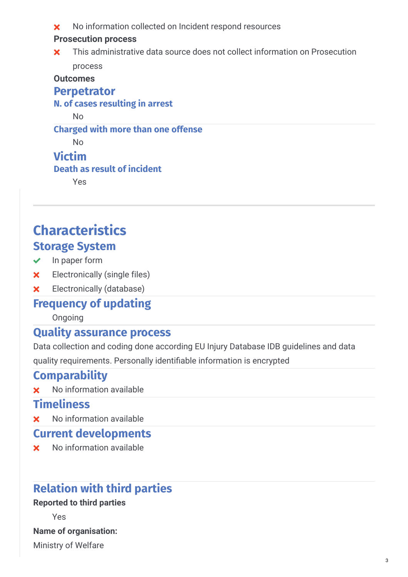No information collected on Incident respond resources

#### **Prosecution process**

This administrative data source does not collect information on Prosecution process  $\mathbf{x}$ 

**Outcomes**

#### **Perpetrator**

**N. of cases resulting in arrest**

No

#### **Charged with more than one offense**

No

### **Victim**

#### **Death as result of incident**

Yes

# **Characteristics Storage System**

- $\vee$  In paper form
- Electronically (single files)
- Electronically (database)

## **Frequency of updating**

Ongoing

### **Quality assurance process**

Data collection and coding done according EU Injury Database IDB guidelines and data

quality requirements. Personally identifiable information is encrypted

## **Comparability**

**x** No information available

# **Timeliness**

**x** No information available

## **Current developments**

**x** No information available

# **Relation with third parties**

#### **Reported to third parties**

Yes

**Name of organisation:**

Ministry of Welfare